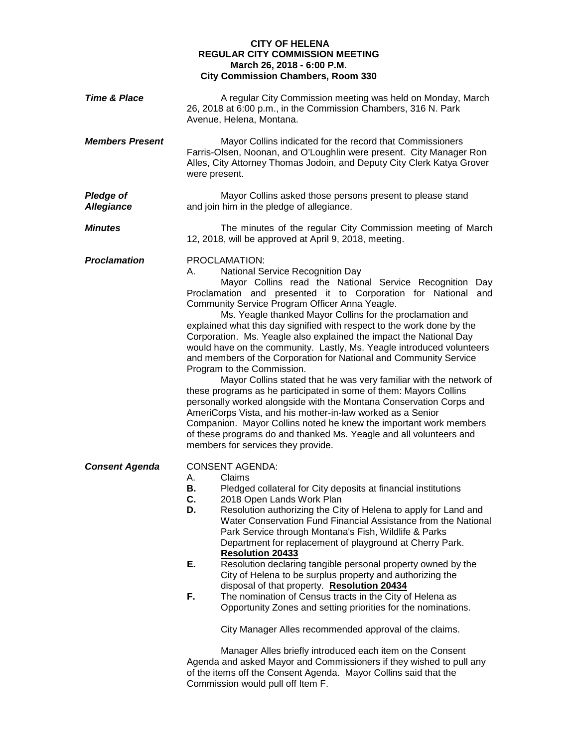## **CITY OF HELENA REGULAR CITY COMMISSION MEETING March 26, 2018 - 6:00 P.M. City Commission Chambers, Room 330**

| <b>Time &amp; Place</b>               | A regular City Commission meeting was held on Monday, March<br>26, 2018 at 6:00 p.m., in the Commission Chambers, 316 N. Park<br>Avenue, Helena, Montana.                                                                                                                                                                                                                                                                                                                                                                                                                                                                                                                                                                                                                                                                                                                                                                                                                                                                                                                                       |
|---------------------------------------|-------------------------------------------------------------------------------------------------------------------------------------------------------------------------------------------------------------------------------------------------------------------------------------------------------------------------------------------------------------------------------------------------------------------------------------------------------------------------------------------------------------------------------------------------------------------------------------------------------------------------------------------------------------------------------------------------------------------------------------------------------------------------------------------------------------------------------------------------------------------------------------------------------------------------------------------------------------------------------------------------------------------------------------------------------------------------------------------------|
| <b>Members Present</b>                | Mayor Collins indicated for the record that Commissioners<br>Farris-Olsen, Noonan, and O'Loughlin were present. City Manager Ron<br>Alles, City Attorney Thomas Jodoin, and Deputy City Clerk Katya Grover<br>were present.                                                                                                                                                                                                                                                                                                                                                                                                                                                                                                                                                                                                                                                                                                                                                                                                                                                                     |
| <b>Pledge of</b><br><b>Allegiance</b> | Mayor Collins asked those persons present to please stand<br>and join him in the pledge of allegiance.                                                                                                                                                                                                                                                                                                                                                                                                                                                                                                                                                                                                                                                                                                                                                                                                                                                                                                                                                                                          |
| <b>Minutes</b>                        | The minutes of the regular City Commission meeting of March<br>12, 2018, will be approved at April 9, 2018, meeting.                                                                                                                                                                                                                                                                                                                                                                                                                                                                                                                                                                                                                                                                                                                                                                                                                                                                                                                                                                            |
| <b>Proclamation</b>                   | PROCLAMATION:<br>National Service Recognition Day<br>А.<br>Mayor Collins read the National Service Recognition Day<br>Proclamation and presented it to Corporation for National and<br>Community Service Program Officer Anna Yeagle.<br>Ms. Yeagle thanked Mayor Collins for the proclamation and<br>explained what this day signified with respect to the work done by the<br>Corporation. Ms. Yeagle also explained the impact the National Day<br>would have on the community. Lastly, Ms. Yeagle introduced volunteers<br>and members of the Corporation for National and Community Service<br>Program to the Commission.<br>Mayor Collins stated that he was very familiar with the network of<br>these programs as he participated in some of them: Mayors Collins<br>personally worked alongside with the Montana Conservation Corps and<br>AmeriCorps Vista, and his mother-in-law worked as a Senior<br>Companion. Mayor Collins noted he knew the important work members<br>of these programs do and thanked Ms. Yeagle and all volunteers and<br>members for services they provide. |
| <b>Consent Agenda</b>                 | <b>CONSENT AGENDA:</b><br>Claims<br>А.<br>Pledged collateral for City deposits at financial institutions<br>В.<br>C.<br>2018 Open Lands Work Plan<br>Resolution authorizing the City of Helena to apply for Land and<br>D.<br>Water Conservation Fund Financial Assistance from the National<br>Park Service through Montana's Fish, Wildlife & Parks<br>Department for replacement of playground at Cherry Park.<br><b>Resolution 20433</b><br>Ε.<br>Resolution declaring tangible personal property owned by the<br>City of Helena to be surplus property and authorizing the<br>disposal of that property. Resolution 20434<br>F.<br>The nomination of Census tracts in the City of Helena as<br>Opportunity Zones and setting priorities for the nominations.<br>City Manager Alles recommended approval of the claims.<br>Manager Alles briefly introduced each item on the Consent<br>Agenda and asked Mayor and Commissioners if they wished to pull any                                                                                                                                 |
|                                       | of the items off the Consent Agenda. Mayor Collins said that the                                                                                                                                                                                                                                                                                                                                                                                                                                                                                                                                                                                                                                                                                                                                                                                                                                                                                                                                                                                                                                |

of the items off the Consent Agenda. Mayor Collins said that the Commission would pull off Item F.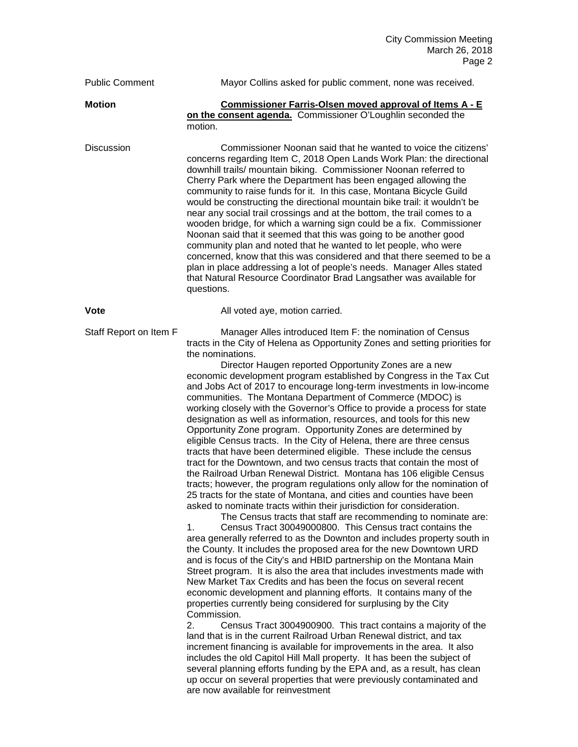| <b>Public Comment</b>  | Mayor Collins asked for public comment, none was received.                                                                                                                                                                                                                                                                                                                                                                                                                                                                                                                                                                                                                                                                                                                                                                                                                                                                                                                                                                                                                                                                                                                                                                                                                                                                                                                                                                                                                                                                                                                                                                                                                                                                                                                                                                                                                                                                                                                                                                                                                                                                                                                                                                                                                                                                                                   |
|------------------------|--------------------------------------------------------------------------------------------------------------------------------------------------------------------------------------------------------------------------------------------------------------------------------------------------------------------------------------------------------------------------------------------------------------------------------------------------------------------------------------------------------------------------------------------------------------------------------------------------------------------------------------------------------------------------------------------------------------------------------------------------------------------------------------------------------------------------------------------------------------------------------------------------------------------------------------------------------------------------------------------------------------------------------------------------------------------------------------------------------------------------------------------------------------------------------------------------------------------------------------------------------------------------------------------------------------------------------------------------------------------------------------------------------------------------------------------------------------------------------------------------------------------------------------------------------------------------------------------------------------------------------------------------------------------------------------------------------------------------------------------------------------------------------------------------------------------------------------------------------------------------------------------------------------------------------------------------------------------------------------------------------------------------------------------------------------------------------------------------------------------------------------------------------------------------------------------------------------------------------------------------------------------------------------------------------------------------------------------------------------|
| <b>Motion</b>          | Commissioner Farris-Olsen moved approval of Items A - E<br>on the consent agenda. Commissioner O'Loughlin seconded the<br>motion.                                                                                                                                                                                                                                                                                                                                                                                                                                                                                                                                                                                                                                                                                                                                                                                                                                                                                                                                                                                                                                                                                                                                                                                                                                                                                                                                                                                                                                                                                                                                                                                                                                                                                                                                                                                                                                                                                                                                                                                                                                                                                                                                                                                                                            |
| <b>Discussion</b>      | Commissioner Noonan said that he wanted to voice the citizens'<br>concerns regarding Item C, 2018 Open Lands Work Plan: the directional<br>downhill trails/ mountain biking. Commissioner Noonan referred to<br>Cherry Park where the Department has been engaged allowing the<br>community to raise funds for it. In this case, Montana Bicycle Guild<br>would be constructing the directional mountain bike trail: it wouldn't be<br>near any social trail crossings and at the bottom, the trail comes to a<br>wooden bridge, for which a warning sign could be a fix. Commissioner<br>Noonan said that it seemed that this was going to be another good<br>community plan and noted that he wanted to let people, who were<br>concerned, know that this was considered and that there seemed to be a<br>plan in place addressing a lot of people's needs. Manager Alles stated<br>that Natural Resource Coordinator Brad Langsather was available for<br>questions.                                                                                                                                                                                                                                                                                                                                                                                                                                                                                                                                                                                                                                                                                                                                                                                                                                                                                                                                                                                                                                                                                                                                                                                                                                                                                                                                                                                      |
| Vote                   | All voted aye, motion carried.                                                                                                                                                                                                                                                                                                                                                                                                                                                                                                                                                                                                                                                                                                                                                                                                                                                                                                                                                                                                                                                                                                                                                                                                                                                                                                                                                                                                                                                                                                                                                                                                                                                                                                                                                                                                                                                                                                                                                                                                                                                                                                                                                                                                                                                                                                                               |
| Staff Report on Item F | Manager Alles introduced Item F: the nomination of Census<br>tracts in the City of Helena as Opportunity Zones and setting priorities for<br>the nominations.<br>Director Haugen reported Opportunity Zones are a new<br>economic development program established by Congress in the Tax Cut<br>and Jobs Act of 2017 to encourage long-term investments in low-income<br>communities. The Montana Department of Commerce (MDOC) is<br>working closely with the Governor's Office to provide a process for state<br>designation as well as information, resources, and tools for this new<br>Opportunity Zone program. Opportunity Zones are determined by<br>eligible Census tracts. In the City of Helena, there are three census<br>tracts that have been determined eligible. These include the census<br>tract for the Downtown, and two census tracts that contain the most of<br>the Railroad Urban Renewal District. Montana has 106 eligible Census<br>tracts; however, the program regulations only allow for the nomination of<br>25 tracts for the state of Montana, and cities and counties have been<br>asked to nominate tracts within their jurisdiction for consideration.<br>The Census tracts that staff are recommending to nominate are:<br>Census Tract 30049000800. This Census tract contains the<br>1.<br>area generally referred to as the Downton and includes property south in<br>the County. It includes the proposed area for the new Downtown URD<br>and is focus of the City's and HBID partnership on the Montana Main<br>Street program. It is also the area that includes investments made with<br>New Market Tax Credits and has been the focus on several recent<br>economic development and planning efforts. It contains many of the<br>properties currently being considered for surplusing by the City<br>Commission.<br>2.<br>Census Tract 3004900900. This tract contains a majority of the<br>land that is in the current Railroad Urban Renewal district, and tax<br>increment financing is available for improvements in the area. It also<br>includes the old Capitol Hill Mall property. It has been the subject of<br>several planning efforts funding by the EPA and, as a result, has clean<br>up occur on several properties that were previously contaminated and<br>are now available for reinvestment |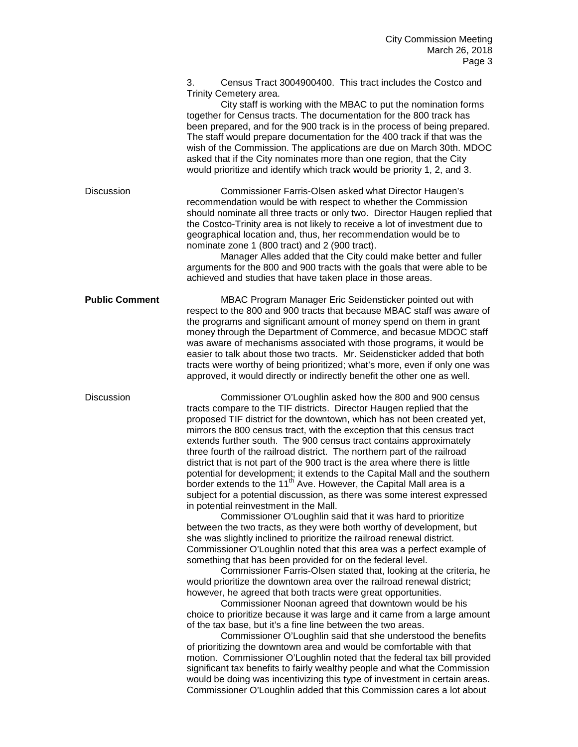|                       | 3.<br>Census Tract 3004900400. This tract includes the Costco and<br>Trinity Cemetery area.<br>City staff is working with the MBAC to put the nomination forms<br>together for Census tracts. The documentation for the 800 track has<br>been prepared, and for the 900 track is in the process of being prepared.<br>The staff would prepare documentation for the 400 track if that was the<br>wish of the Commission. The applications are due on March 30th. MDOC<br>asked that if the City nominates more than one region, that the City<br>would prioritize and identify which track would be priority 1, 2, and 3.                                                                                                                                                                                                                                                                                                                                                                                                                                                                                                                                                                                                                                                                                                                                                                                                                                                                                                                                                                                                                                                                                                                                                                                                                                                                                                                                                                                                                               |
|-----------------------|---------------------------------------------------------------------------------------------------------------------------------------------------------------------------------------------------------------------------------------------------------------------------------------------------------------------------------------------------------------------------------------------------------------------------------------------------------------------------------------------------------------------------------------------------------------------------------------------------------------------------------------------------------------------------------------------------------------------------------------------------------------------------------------------------------------------------------------------------------------------------------------------------------------------------------------------------------------------------------------------------------------------------------------------------------------------------------------------------------------------------------------------------------------------------------------------------------------------------------------------------------------------------------------------------------------------------------------------------------------------------------------------------------------------------------------------------------------------------------------------------------------------------------------------------------------------------------------------------------------------------------------------------------------------------------------------------------------------------------------------------------------------------------------------------------------------------------------------------------------------------------------------------------------------------------------------------------------------------------------------------------------------------------------------------------|
| <b>Discussion</b>     | Commissioner Farris-Olsen asked what Director Haugen's<br>recommendation would be with respect to whether the Commission<br>should nominate all three tracts or only two. Director Haugen replied that<br>the Costco-Trinity area is not likely to receive a lot of investment due to<br>geographical location and, thus, her recommendation would be to<br>nominate zone 1 (800 tract) and 2 (900 tract).<br>Manager Alles added that the City could make better and fuller<br>arguments for the 800 and 900 tracts with the goals that were able to be<br>achieved and studies that have taken place in those areas.                                                                                                                                                                                                                                                                                                                                                                                                                                                                                                                                                                                                                                                                                                                                                                                                                                                                                                                                                                                                                                                                                                                                                                                                                                                                                                                                                                                                                                  |
| <b>Public Comment</b> | MBAC Program Manager Eric Seidensticker pointed out with<br>respect to the 800 and 900 tracts that because MBAC staff was aware of<br>the programs and significant amount of money spend on them in grant<br>money through the Department of Commerce, and becasue MDOC staff<br>was aware of mechanisms associated with those programs, it would be<br>easier to talk about those two tracts. Mr. Seidensticker added that both<br>tracts were worthy of being prioritized; what's more, even if only one was<br>approved, it would directly or indirectly benefit the other one as well.                                                                                                                                                                                                                                                                                                                                                                                                                                                                                                                                                                                                                                                                                                                                                                                                                                                                                                                                                                                                                                                                                                                                                                                                                                                                                                                                                                                                                                                              |
| <b>Discussion</b>     | Commissioner O'Loughlin asked how the 800 and 900 census<br>tracts compare to the TIF districts. Director Haugen replied that the<br>proposed TIF district for the downtown, which has not been created yet,<br>mirrors the 800 census tract, with the exception that this census tract<br>extends further south. The 900 census tract contains approximately<br>three fourth of the railroad district. The northern part of the railroad<br>district that is not part of the 900 tract is the area where there is little<br>potential for development; it extends to the Capital Mall and the southern<br>border extends to the 11 <sup>th</sup> Ave. However, the Capital Mall area is a<br>subject for a potential discussion, as there was some interest expressed<br>in potential reinvestment in the Mall.<br>Commissioner O'Loughlin said that it was hard to prioritize<br>between the two tracts, as they were both worthy of development, but<br>she was slightly inclined to prioritize the railroad renewal district.<br>Commissioner O'Loughlin noted that this area was a perfect example of<br>something that has been provided for on the federal level.<br>Commissioner Farris-Olsen stated that, looking at the criteria, he<br>would prioritize the downtown area over the railroad renewal district;<br>however, he agreed that both tracts were great opportunities.<br>Commissioner Noonan agreed that downtown would be his<br>choice to prioritize because it was large and it came from a large amount<br>of the tax base, but it's a fine line between the two areas.<br>Commissioner O'Loughlin said that she understood the benefits<br>of prioritizing the downtown area and would be comfortable with that<br>motion. Commissioner O'Loughlin noted that the federal tax bill provided<br>significant tax benefits to fairly wealthy people and what the Commission<br>would be doing was incentivizing this type of investment in certain areas.<br>Commissioner O'Loughlin added that this Commission cares a lot about |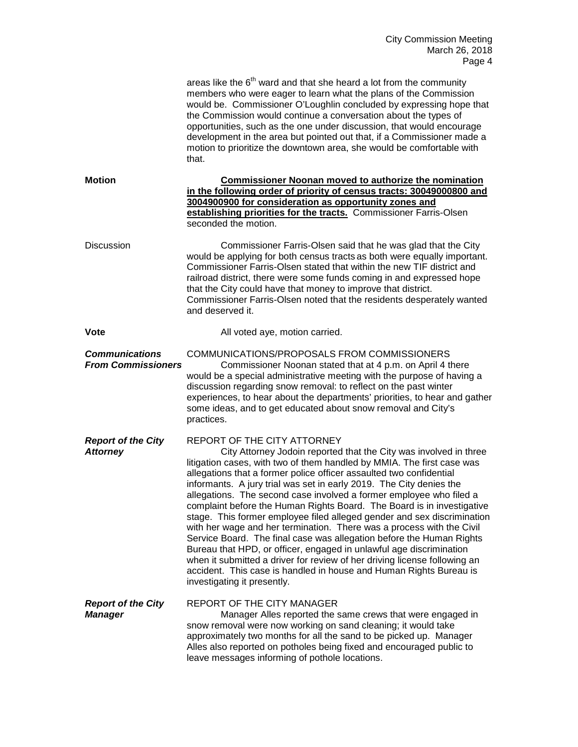|                                                    | areas like the $6th$ ward and that she heard a lot from the community<br>members who were eager to learn what the plans of the Commission<br>would be. Commissioner O'Loughlin concluded by expressing hope that<br>the Commission would continue a conversation about the types of<br>opportunities, such as the one under discussion, that would encourage<br>development in the area but pointed out that, if a Commissioner made a<br>motion to prioritize the downtown area, she would be comfortable with<br>that.                                                                                                                                                                                                                                                                                                                                                                                                                                       |
|----------------------------------------------------|----------------------------------------------------------------------------------------------------------------------------------------------------------------------------------------------------------------------------------------------------------------------------------------------------------------------------------------------------------------------------------------------------------------------------------------------------------------------------------------------------------------------------------------------------------------------------------------------------------------------------------------------------------------------------------------------------------------------------------------------------------------------------------------------------------------------------------------------------------------------------------------------------------------------------------------------------------------|
| <b>Motion</b>                                      | <b>Commissioner Noonan moved to authorize the nomination</b><br>in the following order of priority of census tracts: 30049000800 and<br>3004900900 for consideration as opportunity zones and<br>establishing priorities for the tracts. Commissioner Farris-Olsen<br>seconded the motion.                                                                                                                                                                                                                                                                                                                                                                                                                                                                                                                                                                                                                                                                     |
| <b>Discussion</b>                                  | Commissioner Farris-Olsen said that he was glad that the City<br>would be applying for both census tracts as both were equally important.<br>Commissioner Farris-Olsen stated that within the new TIF district and<br>railroad district, there were some funds coming in and expressed hope<br>that the City could have that money to improve that district.<br>Commissioner Farris-Olsen noted that the residents desperately wanted<br>and deserved it.                                                                                                                                                                                                                                                                                                                                                                                                                                                                                                      |
| <b>Vote</b>                                        | All voted aye, motion carried.                                                                                                                                                                                                                                                                                                                                                                                                                                                                                                                                                                                                                                                                                                                                                                                                                                                                                                                                 |
| <b>Communications</b><br><b>From Commissioners</b> | COMMUNICATIONS/PROPOSALS FROM COMMISSIONERS<br>Commissioner Noonan stated that at 4 p.m. on April 4 there<br>would be a special administrative meeting with the purpose of having a<br>discussion regarding snow removal: to reflect on the past winter<br>experiences, to hear about the departments' priorities, to hear and gather<br>some ideas, and to get educated about snow removal and City's<br>practices.                                                                                                                                                                                                                                                                                                                                                                                                                                                                                                                                           |
| <b>Report of the City</b><br><b>Attorney</b>       | REPORT OF THE CITY ATTORNEY<br>City Attorney Jodoin reported that the City was involved in three<br>litigation cases, with two of them handled by MMIA. The first case was<br>allegations that a former police officer assaulted two confidential<br>informants. A jury trial was set in early 2019. The City denies the<br>allegations. The second case involved a former employee who filed a<br>complaint before the Human Rights Board. The Board is in investigative<br>stage. This former employee filed alleged gender and sex discrimination<br>with her wage and her termination. There was a process with the Civil<br>Service Board. The final case was allegation before the Human Rights<br>Bureau that HPD, or officer, engaged in unlawful age discrimination<br>when it submitted a driver for review of her driving license following an<br>accident. This case is handled in house and Human Rights Bureau is<br>investigating it presently. |
| <b>Report of the City</b><br><b>Manager</b>        | REPORT OF THE CITY MANAGER<br>Manager Alles reported the same crews that were engaged in<br>snow removal were now working on sand cleaning; it would take<br>approximately two months for all the sand to be picked up. Manager<br>Alles also reported on potholes being fixed and encouraged public to<br>leave messages informing of pothole locations.                                                                                                                                                                                                                                                                                                                                                                                                                                                                                                                                                                                                      |